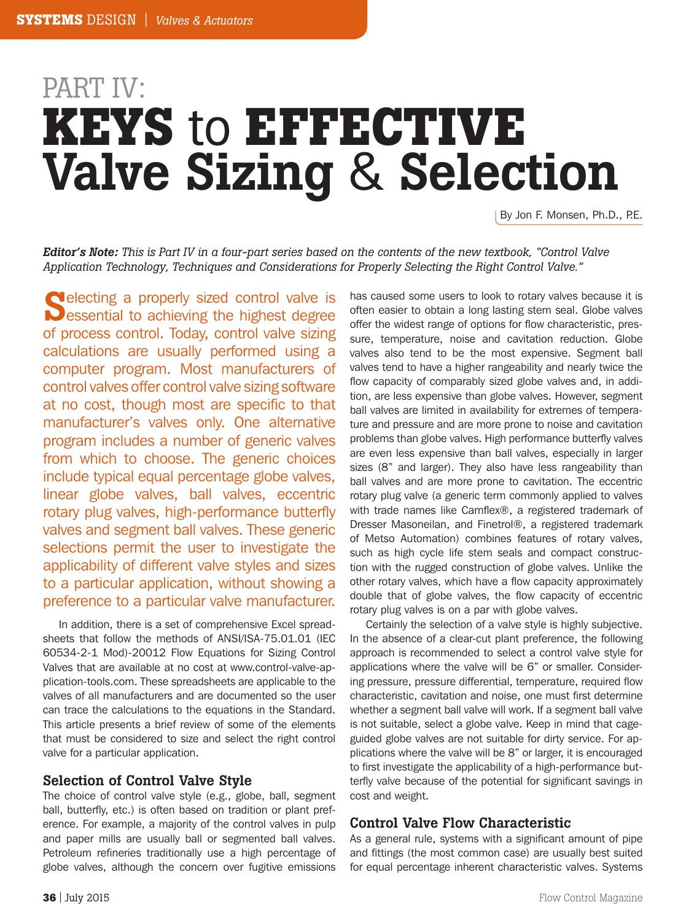# **KEYS** to **EFFECTIVE** Valve Sizing & Selection PART IV:

By Jon F. Monsen, Ph.D., P.E.

*Editor's Note: This is Part IV in a four-part series based on the contents of the new textbook, "Control Valve Application Technology, Techniques and Considerations for Properly Selecting the Right Control Valve."*

Selecting a properly sized control valve is<br>Sessential to achieving the highest degree **electing a properly sized control valve is** of process control. Today, control valve sizing calculations are usually performed using a computer program. Most manufacturers of control valves offer control valve sizing software at no cost, though most are specific to that manufacturer's valves only. One alternative program includes a number of generic valves from which to choose. The generic choices include typical equal percentage globe valves, linear globe valves, ball valves, eccentric rotary plug valves, high-performance butterfly valves and segment ball valves. These generic selections permit the user to investigate the applicability of different valve styles and sizes to a particular application, without showing a preference to a particular valve manufacturer.

In addition, there is a set of comprehensive Excel spreadsheets that follow the methods of ANSI/ISA-75.01.01 (IEC 60534-2-1 Mod)-20012 Flow Equations for Sizing Control Valves that are available at no cost at www.control-valve-application-tools.com. These spreadsheets are applicable to the valves of all manufacturers and are documented so the user can trace the calculations to the equations in the Standard. This article presents a brief review of some of the elements that must be considered to size and select the right control valve for a particular application.

### Selection of Control Valve Style

The choice of control valve style (e.g., globe, ball, segment ball, butterfly, etc.) is often based on tradition or plant preference. For example, a majority of the control valves in pulp and paper mills are usually ball or segmented ball valves. Petroleum refineries traditionally use a high percentage of globe valves, although the concern over fugitive emissions

has caused some users to look to rotary valves because it is often easier to obtain a long lasting stem seal. Globe valves offer the widest range of options for flow characteristic, pressure, temperature, noise and cavitation reduction. Globe valves also tend to be the most expensive. Segment ball valves tend to have a higher rangeability and nearly twice the flow capacity of comparably sized globe valves and, in addition, are less expensive than globe valves. However, segment ball valves are limited in availability for extremes of temperature and pressure and are more prone to noise and cavitation problems than globe valves. High performance butterfly valves are even less expensive than ball valves, especially in larger sizes (8" and larger). They also have less rangeability than ball valves and are more prone to cavitation. The eccentric rotary plug valve (a generic term commonly applied to valves with trade names like Camflex®, a registered trademark of Dresser Masoneilan, and Finetrol®, a registered trademark of Metso Automation) combines features of rotary valves, such as high cycle life stem seals and compact construction with the rugged construction of globe valves. Unlike the other rotary valves, which have a flow capacity approximately double that of globe valves, the flow capacity of eccentric rotary plug valves is on a par with globe valves.

Certainly the selection of a valve style is highly subjective. In the absence of a clear-cut plant preference, the following approach is recommended to select a control valve style for applications where the valve will be 6" or smaller. Considering pressure, pressure differential, temperature, required flow characteristic, cavitation and noise, one must first determine whether a segment ball valve will work. If a segment ball valve is not suitable, select a globe valve. Keep in mind that cageguided globe valves are not suitable for dirty service. For applications where the valve will be 8" or larger, it is encouraged to first investigate the applicability of a high-performance butterfly valve because of the potential for significant savings in cost and weight.

### Control Valve Flow Characteristic

As a general rule, systems with a significant amount of pipe and fittings (the most common case) are usually best suited for equal percentage inherent characteristic valves. Systems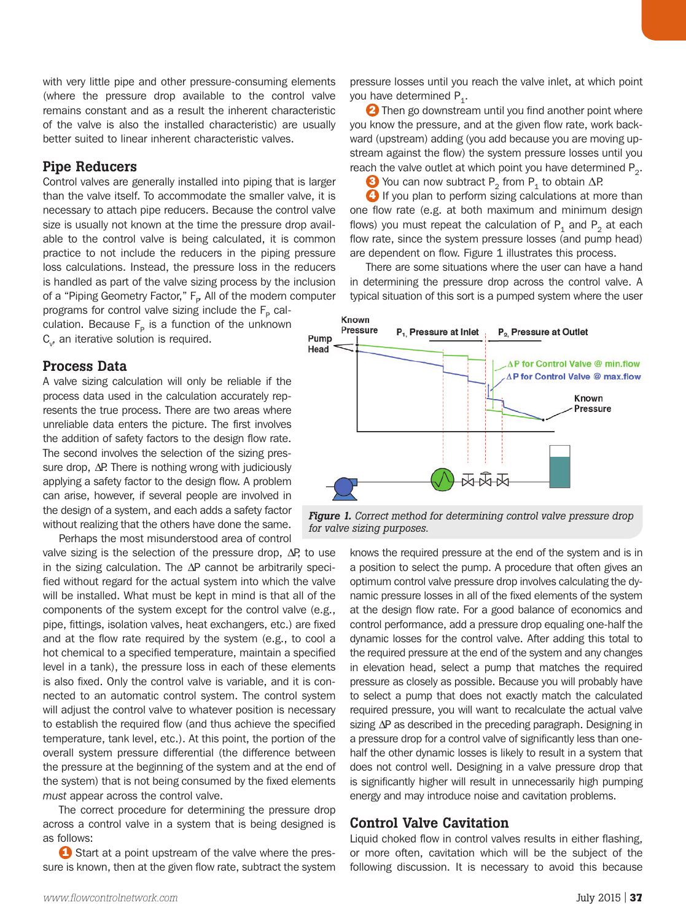with very little pipe and other pressure-consuming elements (where the pressure drop available to the control valve remains constant and as a result the inherent characteristic of the valve is also the installed characteristic) are usually better suited to linear inherent characteristic valves.

# Pipe Reducers

Control valves are generally installed into piping that is larger than the valve itself. To accommodate the smaller valve, it is necessary to attach pipe reducers. Because the control valve size is usually not known at the time the pressure drop available to the control valve is being calculated, it is common practice to not include the reducers in the piping pressure loss calculations. Instead, the pressure loss in the reducers is handled as part of the valve sizing process by the inclusion of a "Piping Geometry Factor," F<sub>P</sub> All of the modern computer programs for control valve sizing include the  $F_P$  calculation. Because  $F_P$  is a function of the unknown  $C_{v}$ , an iterative solution is required. Pump

# Process Data

A valve sizing calculation will only be reliable if the process data used in the calculation accurately represents the true process. There are two areas where unreliable data enters the picture. The first involves the addition of safety factors to the design flow rate. The second involves the selection of the sizing pressure drop, ∆P. There is nothing wrong with judiciously applying a safety factor to the design flow. A problem can arise, however, if several people are involved in the design of a system, and each adds a safety factor without realizing that the others have done the same.

Perhaps the most misunderstood area of control valve sizing is the selection of the pressure drop, ΔP, to use in the sizing calculation. The ∆P cannot be arbitrarily specified without regard for the actual system into which the valve will be installed. What must be kept in mind is that all of the components of the system except for the control valve (e.g., pipe, fittings, isolation valves, heat exchangers, etc.) are fixed and at the flow rate required by the system (e.g., to cool a hot chemical to a specified temperature, maintain a specified level in a tank), the pressure loss in each of these elements is also fixed. Only the control valve is variable, and it is connected to an automatic control system. The control system will adjust the control valve to whatever position is necessary to establish the required flow (and thus achieve the specified temperature, tank level, etc.). At this point, the portion of the overall system pressure differential (the difference between the pressure at the beginning of the system and at the end of the system) that is not being consumed by the fixed elements *must* appear across the control valve.

The correct procedure for determining the pressure drop across a control valve in a system that is being designed is as follows:

**1** Start at a point upstream of the valve where the pressure is known, then at the given flow rate, subtract the system pressure losses until you reach the valve inlet, at which point you have determined  $P_1$ .

2 Then go downstream until you find another point where you know the pressure, and at the given flow rate, work backward (upstream) adding (you add because you are moving upstream against the flow) the system pressure losses until you reach the valve outlet at which point you have determined  $P_2$ .

 $\bullet$  You can now subtract P<sub>2</sub> from P<sub>1</sub> to obtain  $\Delta P$ . 4 If you plan to perform sizing calculations at more than one flow rate (e.g. at both maximum and minimum design flows) you must repeat the calculation of  $P_1$  and  $P_2$  at each flow rate, since the system pressure losses (and pump head) are dependent on flow. Figure 1 illustrates this process.

There are some situations where the user can have a hand in determining the pressure drop across the control valve. A typical situation of this sort is a pumped system where the user



*Figure 1. Correct method for determining control valve pressure drop for valve sizing purposes.*

knows the required pressure at the end of the system and is in a position to select the pump. A procedure that often gives an optimum control valve pressure drop involves calculating the dynamic pressure losses in all of the fixed elements of the system at the design flow rate. For a good balance of economics and control performance, add a pressure drop equaling one-half the dynamic losses for the control valve. After adding this total to the required pressure at the end of the system and any changes in elevation head, select a pump that matches the required pressure as closely as possible. Because you will probably have to select a pump that does not exactly match the calculated required pressure, you will want to recalculate the actual valve sizing ∆P as described in the preceding paragraph. Designing in a pressure drop for a control valve of significantly less than onehalf the other dynamic losses is likely to result in a system that does not control well. Designing in a valve pressure drop that is significantly higher will result in unnecessarily high pumping energy and may introduce noise and cavitation problems.

# Control Valve Cavitation

Liquid choked flow in control valves results in either flashing, or more often, cavitation which will be the subject of the following discussion. It is necessary to avoid this because